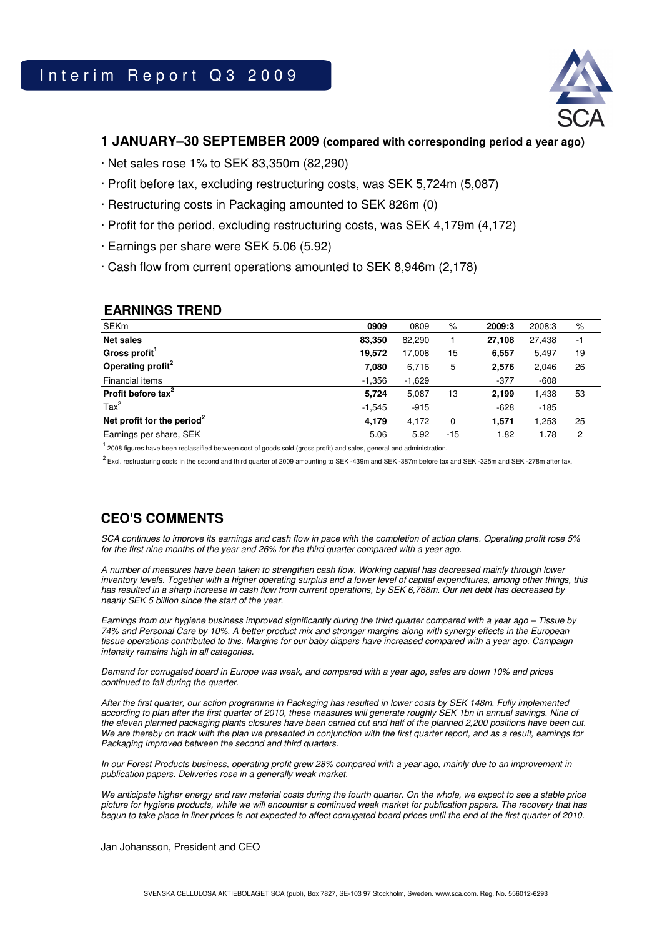

## **1 JANUARY–30 SEPTEMBER 2009 (compared with corresponding period a year ago)**

- · Net sales rose 1% to SEK 83,350m (82,290)
- · Profit before tax, excluding restructuring costs, was SEK 5,724m (5,087)
- · Restructuring costs in Packaging amounted to SEK 826m (0)
- · Profit for the period, excluding restructuring costs, was SEK 4,179m (4,172)
- · Earnings per share were SEK 5.06 (5.92)
- · Cash flow from current operations amounted to SEK 8,946m (2,178)

## **EARNINGS TREND**

| <b>SEKm</b>                            | 0909     | 0809     | %     | 2009:3 | 2008:3 | %    |
|----------------------------------------|----------|----------|-------|--------|--------|------|
| Net sales                              | 83,350   | 82,290   |       | 27,108 | 27,438 | $-1$ |
| Gross profit <sup>1</sup>              | 19.572   | 17,008   | 15    | 6,557  | 5,497  | 19   |
| Operating profit <sup>2</sup>          | 7,080    | 6,716    | 5     | 2,576  | 2,046  | 26   |
| Financial items                        | $-1,356$ | $-1,629$ |       | $-377$ | $-608$ |      |
| Profit before tax <sup>2</sup>         | 5,724    | 5,087    | 13    | 2,199  | 1,438  | 53   |
| $\text{Tax}^2$                         | $-1,545$ | $-915$   |       | $-628$ | $-185$ |      |
| Net profit for the period <sup>2</sup> | 4.179    | 4,172    | 0     | 1,571  | 1,253  | 25   |
| Earnings per share, SEK                | 5.06     | 5.92     | $-15$ | 1.82   | 1.78   | 2    |

 $1$  2008 figures have been reclassified between cost of goods sold (gross profit) and sales, general and administration.

 $^2$  Excl. restructuring costs in the second and third quarter of 2009 amounting to SEK -439m and SEK -387m before tax and SEK -325m and SEK -278m after tax.

# **CEO'S COMMENTS**

SCA continues to improve its earnings and cash flow in pace with the completion of action plans. Operating profit rose 5% for the first nine months of the year and 26% for the third quarter compared with a year ago.

A number of measures have been taken to strengthen cash flow. Working capital has decreased mainly through lower inventory levels. Together with a higher operating surplus and a lower level of capital expenditures, among other things, this has resulted in a sharp increase in cash flow from current operations, by SEK 6,768m. Our net debt has decreased by nearly SEK 5 billion since the start of the year.

Earnings from our hygiene business improved significantly during the third quarter compared with a year ago – Tissue by 74% and Personal Care by 10%. A better product mix and stronger margins along with synergy effects in the European tissue operations contributed to this. Margins for our baby diapers have increased compared with a year ago. Campaign intensity remains high in all categories.

Demand for corrugated board in Europe was weak, and compared with a year ago, sales are down 10% and prices continued to fall during the quarter.

After the first quarter, our action programme in Packaging has resulted in lower costs by SEK 148m. Fully implemented according to plan after the first quarter of 2010, these measures will generate roughly SEK 1bn in annual savings. Nine of the eleven planned packaging plants closures have been carried out and half of the planned 2,200 positions have been cut. We are thereby on track with the plan we presented in conjunction with the first quarter report, and as a result, earnings for Packaging improved between the second and third quarters.

In our Forest Products business, operating profit grew 28% compared with a year ago, mainly due to an improvement in publication papers. Deliveries rose in a generally weak market.

We anticipate higher energy and raw material costs during the fourth quarter. On the whole, we expect to see a stable price picture for hygiene products, while we will encounter a continued weak market for publication papers. The recovery that has begun to take place in liner prices is not expected to affect corrugated board prices until the end of the first quarter of 2010.

Jan Johansson, President and CEO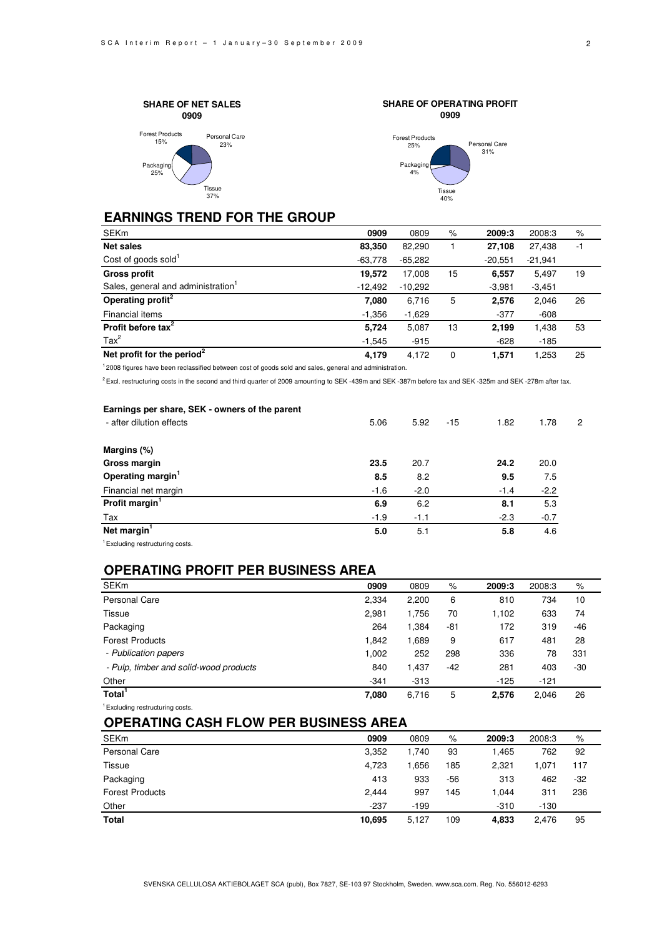



40%

## **EARNINGS TREND FOR THE GROUP**

| <b>SEKm</b>                                    | 0909      | 0809      | %  | 2009:3    | 2008:3    | %    |
|------------------------------------------------|-----------|-----------|----|-----------|-----------|------|
| <b>Net sales</b>                               | 83,350    | 82,290    |    | 27,108    | 27,438    | $-1$ |
| Cost of goods sold <sup>1</sup>                | $-63,778$ | $-65,282$ |    | $-20,551$ | $-21,941$ |      |
| <b>Gross profit</b>                            | 19,572    | 17.008    | 15 | 6,557     | 5,497     | 19   |
| Sales, general and administration <sup>1</sup> | $-12,492$ | $-10,292$ |    | $-3,981$  | $-3,451$  |      |
| Operating profit <sup>2</sup>                  | 7,080     | 6,716     | 5  | 2,576     | 2,046     | 26   |
| Financial items                                | $-1,356$  | $-1,629$  |    | $-377$    | $-608$    |      |
| Profit before tax <sup>2</sup>                 | 5.724     | 5,087     | 13 | 2.199     | 1,438     | 53   |
| $\text{Tax}^2$                                 | $-1,545$  | $-915$    |    | $-628$    | $-185$    |      |
| Net profit for the period <sup>2</sup>         | 4.179     | 4.172     | 0  | 1.571     | 1.253     | 25   |

 $12008$  figures have been reclassified between cost of goods sold and sales, general and administration.

<sup>2</sup> Excl. restructuring costs in the second and third quarter of 2009 amounting to SEK -439m and SEK -387m before tax and SEK -325m and SEK -278m after tax.

| Earnings per share, SEK - owners of the parent |        |        |       |        |        |                |
|------------------------------------------------|--------|--------|-------|--------|--------|----------------|
| - after dilution effects                       | 5.06   | 5.92   | $-15$ | 1.82   | 1.78   | $\overline{c}$ |
| Margins (%)                                    |        |        |       |        |        |                |
| Gross margin                                   | 23.5   | 20.7   |       | 24.2   | 20.0   |                |
| Operating margin <sup>1</sup>                  | 8.5    | 8.2    |       | 9.5    | 7.5    |                |
| Financial net margin                           | $-1.6$ | $-2.0$ |       | $-1.4$ | $-2.2$ |                |
| Profit margin <sup>1</sup>                     | 6.9    | 6.2    |       | 8.1    | 5.3    |                |
| Tax                                            | $-1.9$ | $-1.1$ |       | $-2.3$ | $-0.7$ |                |
| Net margin                                     | 5.0    | 5.1    |       | 5.8    | 4.6    |                |
|                                                |        |        |       |        |        |                |

<sup>1</sup> Excluding restructuring costs.

## **OPERATING PROFIT PER BUSINESS AREA**

| <b>SEKm</b>                            | 0909   | 0809   | %   | 2009:3 | 2008:3 | %     |
|----------------------------------------|--------|--------|-----|--------|--------|-------|
| Personal Care                          | 2,334  | 2,200  | 6   | 810    | 734    | 10    |
| Tissue                                 | 2,981  | 1.756  | 70  | 1,102  | 633    | 74    |
| Packaging                              | 264    | 1,384  | -81 | 172    | 319    | $-46$ |
| <b>Forest Products</b>                 | 1,842  | 1.689  | 9   | 617    | 481    | 28    |
| - Publication papers                   | 1,002  | 252    | 298 | 336    | 78     | 331   |
| - Pulp, timber and solid-wood products | 840    | 1.437  | -42 | 281    | 403    | $-30$ |
| Other                                  | $-341$ | $-313$ |     | $-125$ | $-121$ |       |
| Total <sup>1</sup>                     | 7.080  | 6.716  | 5   | 2.576  | 2.046  | 26    |

<sup>1</sup> Excluding restructuring costs.

## **OPERATING CASH FLOW PER BUSINESS AREA**

| <b>SEKm</b>            | 0909   | 0809   | %   | 2009:3 | 2008:3 | %   |
|------------------------|--------|--------|-----|--------|--------|-----|
| Personal Care          | 3,352  | 1.740  | 93  | .465   | 762    | 92  |
| Tissue                 | 4,723  | .656   | 185 | 2.321  | 1.071  | 117 |
| Packaging              | 413    | 933    | -56 | 313    | 462    | -32 |
| <b>Forest Products</b> | 2,444  | 997    | 145 | .044   | 311    | 236 |
| Other                  | $-237$ | $-199$ |     | $-310$ | $-130$ |     |
| <b>Total</b>           | 10,695 | 5,127  | 109 | 4,833  | 2,476  | 95  |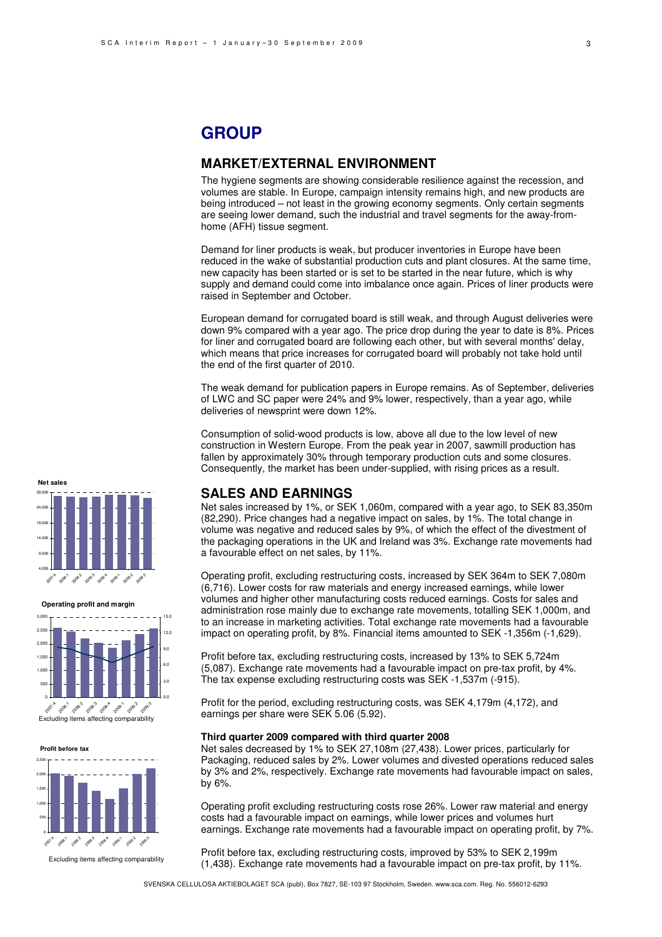# **GROUP**

### **MARKET/EXTERNAL ENVIRONMENT**

The hygiene segments are showing considerable resilience against the recession, and volumes are stable. In Europe, campaign intensity remains high, and new products are being introduced – not least in the growing economy segments. Only certain segments are seeing lower demand, such the industrial and travel segments for the away-fromhome (AFH) tissue segment.

Demand for liner products is weak, but producer inventories in Europe have been reduced in the wake of substantial production cuts and plant closures. At the same time, new capacity has been started or is set to be started in the near future, which is why supply and demand could come into imbalance once again. Prices of liner products were raised in September and October.

European demand for corrugated board is still weak, and through August deliveries were down 9% compared with a year ago. The price drop during the year to date is 8%. Prices for liner and corrugated board are following each other, but with several months' delay, which means that price increases for corrugated board will probably not take hold until the end of the first quarter of 2010.

The weak demand for publication papers in Europe remains. As of September, deliveries of LWC and SC paper were 24% and 9% lower, respectively, than a year ago, while deliveries of newsprint were down 12%.

Consumption of solid-wood products is low, above all due to the low level of new construction in Western Europe. From the peak year in 2007, sawmill production has fallen by approximately 30% through temporary production cuts and some closures. Consequently, the market has been under-supplied, with rising prices as a result.

### **SALES AND EARNINGS**

Net sales increased by 1%, or SEK 1,060m, compared with a year ago, to SEK 83,350m (82,290). Price changes had a negative impact on sales, by 1%. The total change in volume was negative and reduced sales by 9%, of which the effect of the divestment of the packaging operations in the UK and Ireland was 3%. Exchange rate movements had a favourable effect on net sales, by 11%.

Operating profit, excluding restructuring costs, increased by SEK 364m to SEK 7,080m (6,716). Lower costs for raw materials and energy increased earnings, while lower volumes and higher other manufacturing costs reduced earnings. Costs for sales and administration rose mainly due to exchange rate movements, totalling SEK 1,000m, and to an increase in marketing activities. Total exchange rate movements had a favourable impact on operating profit, by 8%. Financial items amounted to SEK -1,356m (-1,629).

Profit before tax, excluding restructuring costs, increased by 13% to SEK 5,724m (5,087). Exchange rate movements had a favourable impact on pre-tax profit, by 4%. The tax expense excluding restructuring costs was SEK -1,537m (-915).

Profit for the period, excluding restructuring costs, was SEK 4,179m (4,172), and earnings per share were SEK 5.06 (5.92).

### **Third quarter 2009 compared with third quarter 2008**

Net sales decreased by 1% to SEK 27,108m (27,438). Lower prices, particularly for Packaging, reduced sales by 2%. Lower volumes and divested operations reduced sales by 3% and 2%, respectively. Exchange rate movements had favourable impact on sales, by 6%.

Operating profit excluding restructuring costs rose 26%. Lower raw material and energy costs had a favourable impact on earnings, while lower prices and volumes hurt earnings. Exchange rate movements had a favourable impact on operating profit, by 7%.

Profit before tax, excluding restructuring costs, improved by 53% to SEK 2,199m (1,438). Exchange rate movements had a favourable impact on pre-tax profit, by 11%.

SVENSKA CELLULOSA AKTIEBOLAGET SCA (publ), Box 7827, SE-103 97 Stockholm, Sweden. www.sca.com. Reg. No. 556012-6293





**Profit before tax**



Excluding items affecting comparability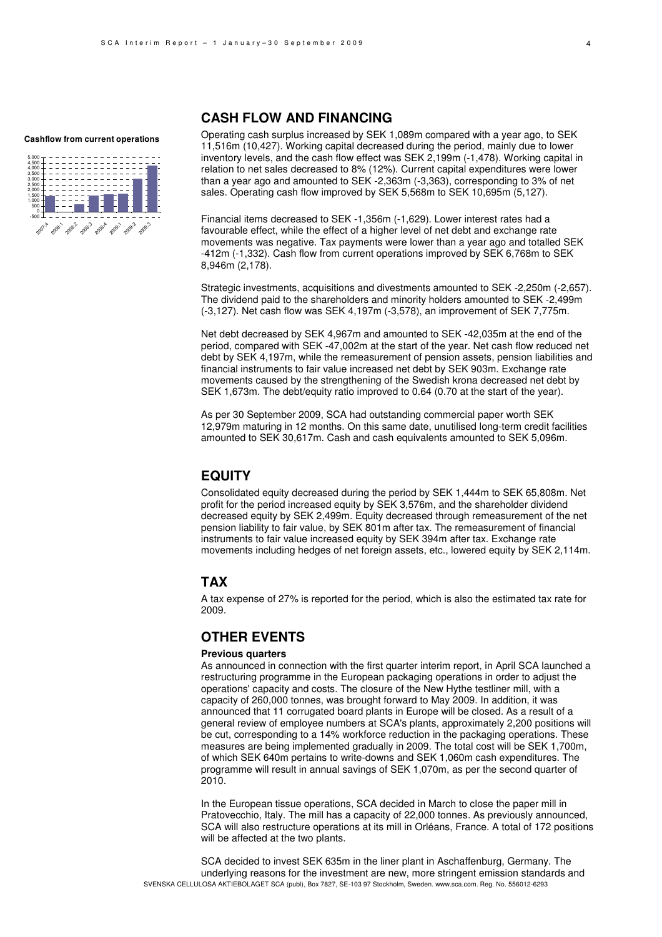#### **Cashflow from current operations**



## **CASH FLOW AND FINANCING**

Operating cash surplus increased by SEK 1,089m compared with a year ago, to SEK 11,516m (10,427). Working capital decreased during the period, mainly due to lower inventory levels, and the cash flow effect was SEK 2,199m (-1,478). Working capital in relation to net sales decreased to 8% (12%). Current capital expenditures were lower than a year ago and amounted to SEK -2,363m (-3,363), corresponding to 3% of net sales. Operating cash flow improved by SEK 5,568m to SEK 10,695m (5,127).

Financial items decreased to SEK -1,356m (-1,629). Lower interest rates had a favourable effect, while the effect of a higher level of net debt and exchange rate movements was negative. Tax payments were lower than a year ago and totalled SEK -412m (-1,332). Cash flow from current operations improved by SEK 6,768m to SEK 8,946m (2,178).

Strategic investments, acquisitions and divestments amounted to SEK -2,250m (-2,657). The dividend paid to the shareholders and minority holders amounted to SEK -2,499m (-3,127). Net cash flow was SEK 4,197m (-3,578), an improvement of SEK 7,775m.

Net debt decreased by SEK 4,967m and amounted to SEK -42,035m at the end of the period, compared with SEK -47,002m at the start of the year. Net cash flow reduced net debt by SEK 4,197m, while the remeasurement of pension assets, pension liabilities and financial instruments to fair value increased net debt by SEK 903m. Exchange rate movements caused by the strengthening of the Swedish krona decreased net debt by SEK 1,673m. The debt/equity ratio improved to 0.64 (0.70 at the start of the year).

As per 30 September 2009, SCA had outstanding commercial paper worth SEK 12,979m maturing in 12 months. On this same date, unutilised long-term credit facilities amounted to SEK 30,617m. Cash and cash equivalents amounted to SEK 5,096m.

### **EQUITY**

Consolidated equity decreased during the period by SEK 1,444m to SEK 65,808m. Net profit for the period increased equity by SEK 3,576m, and the shareholder dividend decreased equity by SEK 2,499m. Equity decreased through remeasurement of the net pension liability to fair value, by SEK 801m after tax. The remeasurement of financial instruments to fair value increased equity by SEK 394m after tax. Exchange rate movements including hedges of net foreign assets, etc., lowered equity by SEK 2,114m.

### **TAX**

A tax expense of 27% is reported for the period, which is also the estimated tax rate for 2009.

### **OTHER EVENTS**

### **Previous quarters**

As announced in connection with the first quarter interim report, in April SCA launched a restructuring programme in the European packaging operations in order to adjust the operations' capacity and costs. The closure of the New Hythe testliner mill, with a capacity of 260,000 tonnes, was brought forward to May 2009. In addition, it was announced that 11 corrugated board plants in Europe will be closed. As a result of a general review of employee numbers at SCA's plants, approximately 2,200 positions will be cut, corresponding to a 14% workforce reduction in the packaging operations. These measures are being implemented gradually in 2009. The total cost will be SEK 1,700m, of which SEK 640m pertains to write-downs and SEK 1,060m cash expenditures. The programme will result in annual savings of SEK 1,070m, as per the second quarter of 2010.

In the European tissue operations, SCA decided in March to close the paper mill in Pratovecchio, Italy. The mill has a capacity of 22,000 tonnes. As previously announced, SCA will also restructure operations at its mill in Orléans, France. A total of 172 positions will be affected at the two plants.

SVENSKA CELLULOSA AKTIEBOLAGET SCA (publ), Box 7827, SE-103 97 Stockholm, Sweden. www.sca.com. Reg. No. 556012-6293 SCA decided to invest SEK 635m in the liner plant in Aschaffenburg, Germany. The underlying reasons for the investment are new, more stringent emission standards and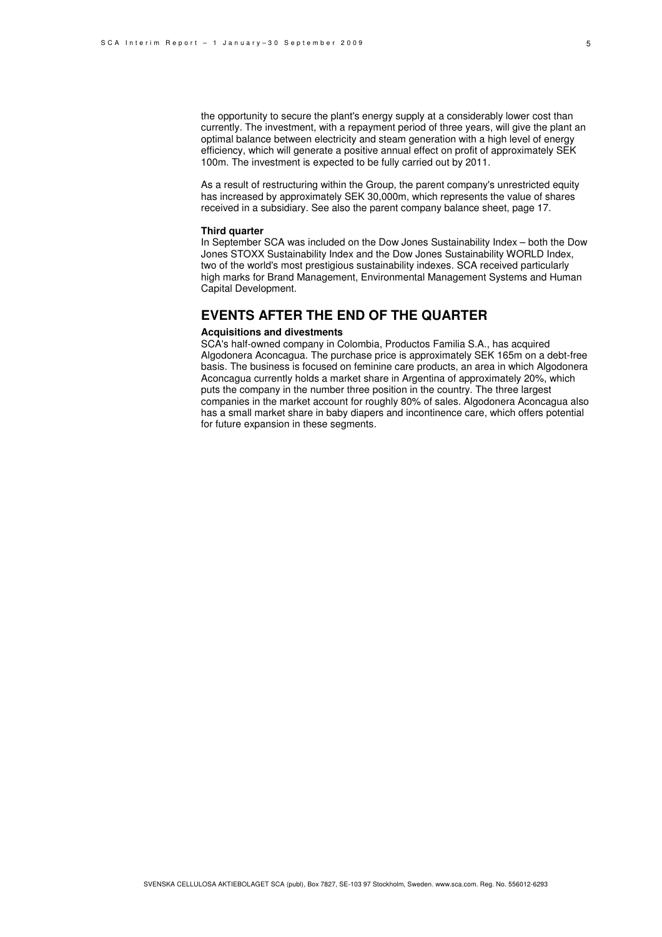the opportunity to secure the plant's energy supply at a considerably lower cost than currently. The investment, with a repayment period of three years, will give the plant an optimal balance between electricity and steam generation with a high level of energy efficiency, which will generate a positive annual effect on profit of approximately SEK 100m. The investment is expected to be fully carried out by 2011.

As a result of restructuring within the Group, the parent company's unrestricted equity has increased by approximately SEK 30,000m, which represents the value of shares received in a subsidiary. See also the parent company balance sheet, page 17.

### **Third quarter**

In September SCA was included on the Dow Jones Sustainability Index – both the Dow Jones STOXX Sustainability Index and the Dow Jones Sustainability WORLD Index, two of the world's most prestigious sustainability indexes. SCA received particularly high marks for Brand Management, Environmental Management Systems and Human Capital Development.

### **EVENTS AFTER THE END OF THE QUARTER**

#### **Acquisitions and divestments**

SCA's half-owned company in Colombia, Productos Familia S.A., has acquired Algodonera Aconcagua. The purchase price is approximately SEK 165m on a debt-free basis. The business is focused on feminine care products, an area in which Algodonera Aconcagua currently holds a market share in Argentina of approximately 20%, which puts the company in the number three position in the country. The three largest companies in the market account for roughly 80% of sales. Algodonera Aconcagua also has a small market share in baby diapers and incontinence care, which offers potential for future expansion in these segments.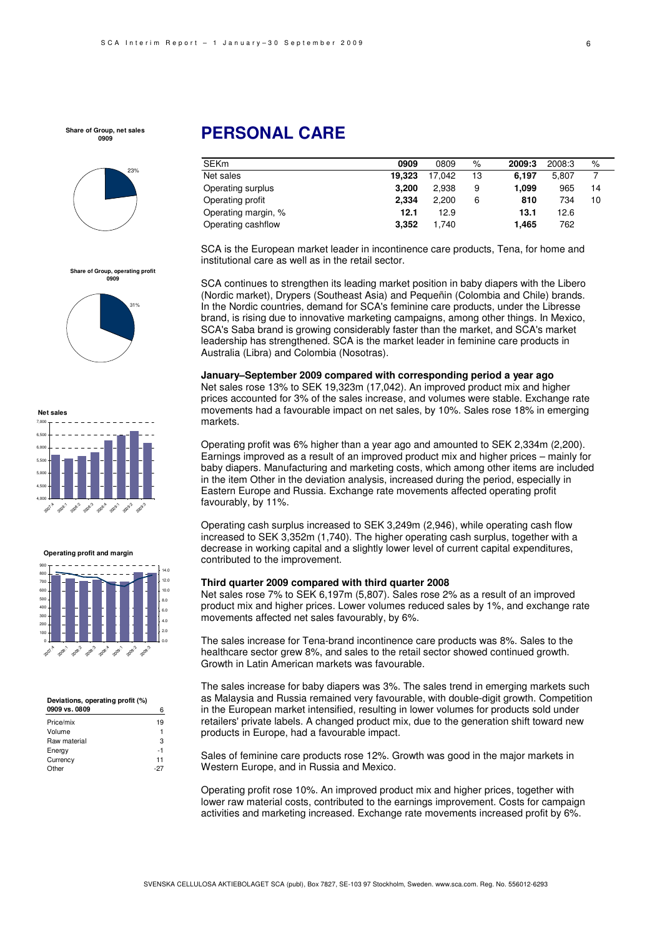

# **PERSONAL CARE**

| <b>SEKm</b>         | 0909   | 0809   | %  | 2009:3 | 2008:3 | %  |
|---------------------|--------|--------|----|--------|--------|----|
| Net sales           | 19.323 | 17.042 | 13 | 6.197  | 5.807  |    |
| Operating surplus   | 3.200  | 2.938  | 9  | 1.099  | 965    | 14 |
| Operating profit    | 2.334  | 2.200  | 6  | 810    | 734    | 10 |
| Operating margin, % | 12.1   | 12.9   |    | 13.1   | 12.6   |    |
| Operating cashflow  | 3.352  | 1.740  |    | 1,465  | 762    |    |

SCA is the European market leader in incontinence care products, Tena, for home and institutional care as well as in the retail sector.

**Share of Group, operating profit 0909**







### **Deviations, operating profit (%)**

| 0909 vs. 0809 | հ   |
|---------------|-----|
| Price/mix     | 19  |
| Volume        |     |
| Raw material  | 3   |
| Energy        | - 1 |
| Currency      | 11  |
| Other         | -27 |

SCA continues to strengthen its leading market position in baby diapers with the Libero (Nordic market), Drypers (Southeast Asia) and Pequeñin (Colombia and Chile) brands. In the Nordic countries, demand for SCA's feminine care products, under the Libresse brand, is rising due to innovative marketing campaigns, among other things. In Mexico, SCA's Saba brand is growing considerably faster than the market, and SCA's market leadership has strengthened. SCA is the market leader in feminine care products in Australia (Libra) and Colombia (Nosotras).

**January–September 2009 compared with corresponding period a year ago**  Net sales rose 13% to SEK 19,323m (17,042). An improved product mix and higher prices accounted for 3% of the sales increase, and volumes were stable. Exchange rate movements had a favourable impact on net sales, by 10%. Sales rose 18% in emerging markets.

Operating profit was 6% higher than a year ago and amounted to SEK 2,334m (2,200). Earnings improved as a result of an improved product mix and higher prices – mainly for baby diapers. Manufacturing and marketing costs, which among other items are included in the item Other in the deviation analysis, increased during the period, especially in Eastern Europe and Russia. Exchange rate movements affected operating profit favourably, by 11%.

Operating cash surplus increased to SEK 3,249m (2,946), while operating cash flow increased to SEK 3,352m (1,740). The higher operating cash surplus, together with a decrease in working capital and a slightly lower level of current capital expenditures, contributed to the improvement.

### **Third quarter 2009 compared with third quarter 2008**

Net sales rose 7% to SEK 6,197m (5,807). Sales rose 2% as a result of an improved product mix and higher prices. Lower volumes reduced sales by 1%, and exchange rate movements affected net sales favourably, by 6%.

The sales increase for Tena-brand incontinence care products was 8%. Sales to the healthcare sector grew 8%, and sales to the retail sector showed continued growth. Growth in Latin American markets was favourable.

The sales increase for baby diapers was 3%. The sales trend in emerging markets such as Malaysia and Russia remained very favourable, with double-digit growth. Competition in the European market intensified, resulting in lower volumes for products sold under retailers' private labels. A changed product mix, due to the generation shift toward new products in Europe, had a favourable impact.

Sales of feminine care products rose 12%. Growth was good in the major markets in Western Europe, and in Russia and Mexico.

Operating profit rose 10%. An improved product mix and higher prices, together with lower raw material costs, contributed to the earnings improvement. Costs for campaign activities and marketing increased. Exchange rate movements increased profit by 6%.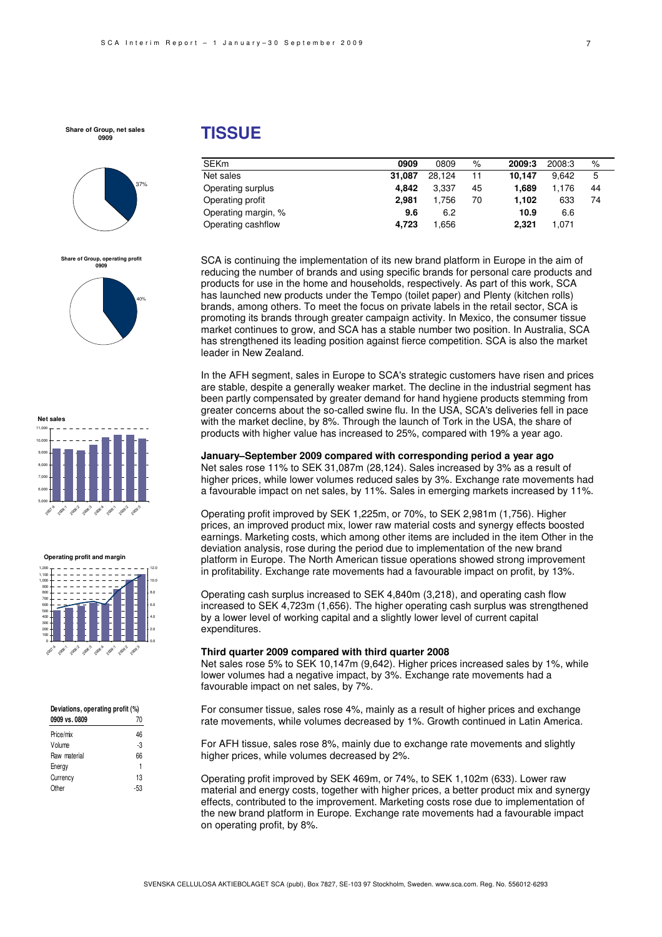

**Share of Group, operating profit 0909**







### **Deviations, operating profit (%) 0909 vs. 0809** 70 Price/mix 46 Volume -3

| Raw material | 66    |
|--------------|-------|
| Energy       |       |
| Currency     | 13    |
| Other        | $-53$ |

# **TISSUE**

| <b>SEKm</b>         | 0909   | 0809   | %  | 2009:3 | 2008:3 | %  |
|---------------------|--------|--------|----|--------|--------|----|
| Net sales           | 31.087 | 28.124 | 11 | 10.147 | 9.642  | 5  |
| Operating surplus   | 4.842  | 3.337  | 45 | 1.689  | 1.176  | 44 |
| Operating profit    | 2.981  | 1.756  | 70 | 1.102  | 633    | 74 |
| Operating margin, % | 9.6    | 6.2    |    | 10.9   | 6.6    |    |
| Operating cashflow  | 4.723  | 1.656  |    | 2.321  | 1.071  |    |

SCA is continuing the implementation of its new brand platform in Europe in the aim of reducing the number of brands and using specific brands for personal care products and products for use in the home and households, respectively. As part of this work, SCA has launched new products under the Tempo (toilet paper) and Plenty (kitchen rolls) brands, among others. To meet the focus on private labels in the retail sector, SCA is promoting its brands through greater campaign activity. In Mexico, the consumer tissue market continues to grow, and SCA has a stable number two position. In Australia, SCA has strengthened its leading position against fierce competition. SCA is also the market leader in New Zealand.

In the AFH segment, sales in Europe to SCA's strategic customers have risen and prices are stable, despite a generally weaker market. The decline in the industrial segment has been partly compensated by greater demand for hand hygiene products stemming from greater concerns about the so-called swine flu. In the USA, SCA's deliveries fell in pace with the market decline, by 8%. Through the launch of Tork in the USA, the share of products with higher value has increased to 25%, compared with 19% a year ago.

### **January–September 2009 compared with corresponding period a year ago**

Net sales rose 11% to SEK 31,087m (28,124). Sales increased by 3% as a result of higher prices, while lower volumes reduced sales by 3%. Exchange rate movements had a favourable impact on net sales, by 11%. Sales in emerging markets increased by 11%.

Operating profit improved by SEK 1,225m, or 70%, to SEK 2,981m (1,756). Higher prices, an improved product mix, lower raw material costs and synergy effects boosted earnings. Marketing costs, which among other items are included in the item Other in the deviation analysis, rose during the period due to implementation of the new brand platform in Europe. The North American tissue operations showed strong improvement in profitability. Exchange rate movements had a favourable impact on profit, by 13%.

Operating cash surplus increased to SEK 4,840m (3,218), and operating cash flow increased to SEK 4,723m (1,656). The higher operating cash surplus was strengthened by a lower level of working capital and a slightly lower level of current capital expenditures.

### **Third quarter 2009 compared with third quarter 2008**

Net sales rose 5% to SEK 10,147m (9,642). Higher prices increased sales by 1%, while lower volumes had a negative impact, by 3%. Exchange rate movements had a favourable impact on net sales, by 7%.

For consumer tissue, sales rose 4%, mainly as a result of higher prices and exchange rate movements, while volumes decreased by 1%. Growth continued in Latin America.

For AFH tissue, sales rose 8%, mainly due to exchange rate movements and slightly higher prices, while volumes decreased by 2%.

Operating profit improved by SEK 469m, or 74%, to SEK 1,102m (633). Lower raw material and energy costs, together with higher prices, a better product mix and synergy effects, contributed to the improvement. Marketing costs rose due to implementation of the new brand platform in Europe. Exchange rate movements had a favourable impact on operating profit, by 8%.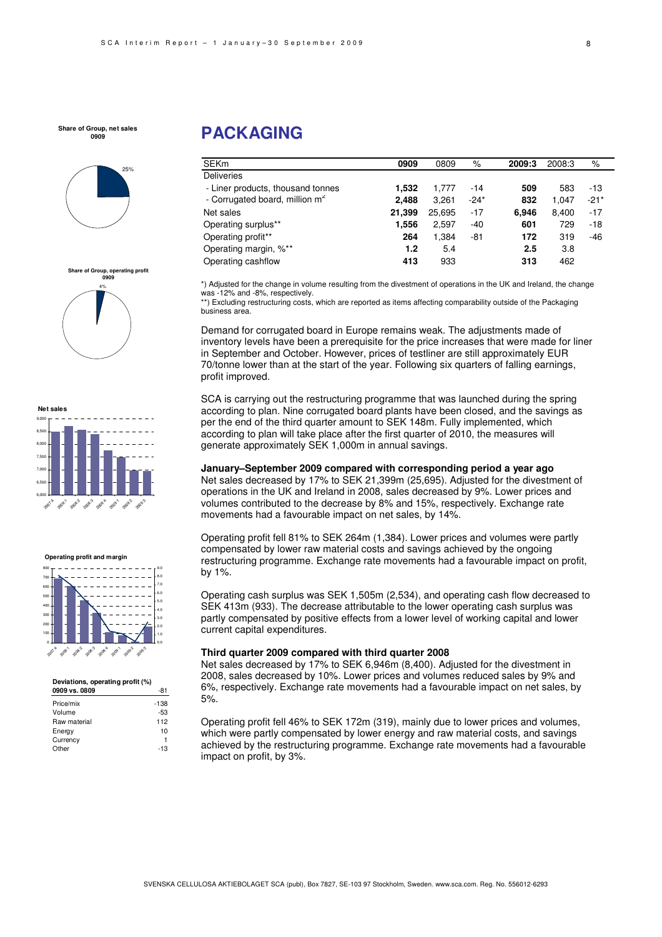

**Share of Group, operating profit 0909**



**Net sales** 6,000 6,500 7,000 7,500 8,000 8,500 9,000 2007<sup>:4</sup>  $28^8$ 2009 2009 200<sup>0.4</sup> 2002 2002 2093





**Deviations, operating profit (%)** 

| 0909 vs. 0809 | -81   |
|---------------|-------|
| Price/mix     | -138  |
| Volume        | -53   |
| Raw material  | 112   |
| Energy        | 10    |
| Currency      | 1     |
| Other         | $-13$ |
|               |       |

# **PACKAGING**

| 0909   | 0809   | %      | 2009:3 | 2008:3 | %      |
|--------|--------|--------|--------|--------|--------|
|        |        |        |        |        |        |
| 1.532  | 1.777  | $-14$  | 509    | 583    | -13    |
| 2.488  | 3,261  | $-24*$ | 832    | 1.047  | $-21*$ |
| 21,399 | 25.695 | $-17$  | 6.946  | 8.400  | $-17$  |
| 1,556  | 2,597  | $-40$  | 601    | 729    | $-18$  |
| 264    | 1,384  | -81    | 172    | 319    | $-46$  |
| 1.2    | 5.4    |        | 2.5    | 3.8    |        |
| 413    | 933    |        | 313    | 462    |        |
|        |        |        |        |        |        |

\*) Adjusted for the change in volume resulting from the divestment of operations in the UK and Ireland, the change was -12% and -8%, respectively.

\*\*) Excluding restructuring costs, which are reported as items affecting comparability outside of the Packaging business area.

Demand for corrugated board in Europe remains weak. The adjustments made of inventory levels have been a prerequisite for the price increases that were made for liner in September and October. However, prices of testliner are still approximately EUR 70/tonne lower than at the start of the year. Following six quarters of falling earnings, profit improved.

SCA is carrying out the restructuring programme that was launched during the spring according to plan. Nine corrugated board plants have been closed, and the savings as per the end of the third quarter amount to SEK 148m. Fully implemented, which according to plan will take place after the first quarter of 2010, the measures will generate approximately SEK 1,000m in annual savings.

### **January–September 2009 compared with corresponding period a year ago**

Net sales decreased by 17% to SEK 21,399m (25,695). Adjusted for the divestment of operations in the UK and Ireland in 2008, sales decreased by 9%. Lower prices and volumes contributed to the decrease by 8% and 15%, respectively. Exchange rate movements had a favourable impact on net sales, by 14%.

Operating profit fell 81% to SEK 264m (1,384). Lower prices and volumes were partly compensated by lower raw material costs and savings achieved by the ongoing restructuring programme. Exchange rate movements had a favourable impact on profit, by 1%.

Operating cash surplus was SEK 1,505m (2,534), and operating cash flow decreased to SEK 413m (933). The decrease attributable to the lower operating cash surplus was partly compensated by positive effects from a lower level of working capital and lower current capital expenditures.

### **Third quarter 2009 compared with third quarter 2008**

Net sales decreased by 17% to SEK 6,946m (8,400). Adjusted for the divestment in 2008, sales decreased by 10%. Lower prices and volumes reduced sales by 9% and 6%, respectively. Exchange rate movements had a favourable impact on net sales, by 5%.

Operating profit fell 46% to SEK 172m (319), mainly due to lower prices and volumes, which were partly compensated by lower energy and raw material costs, and savings achieved by the restructuring programme. Exchange rate movements had a favourable impact on profit, by 3%.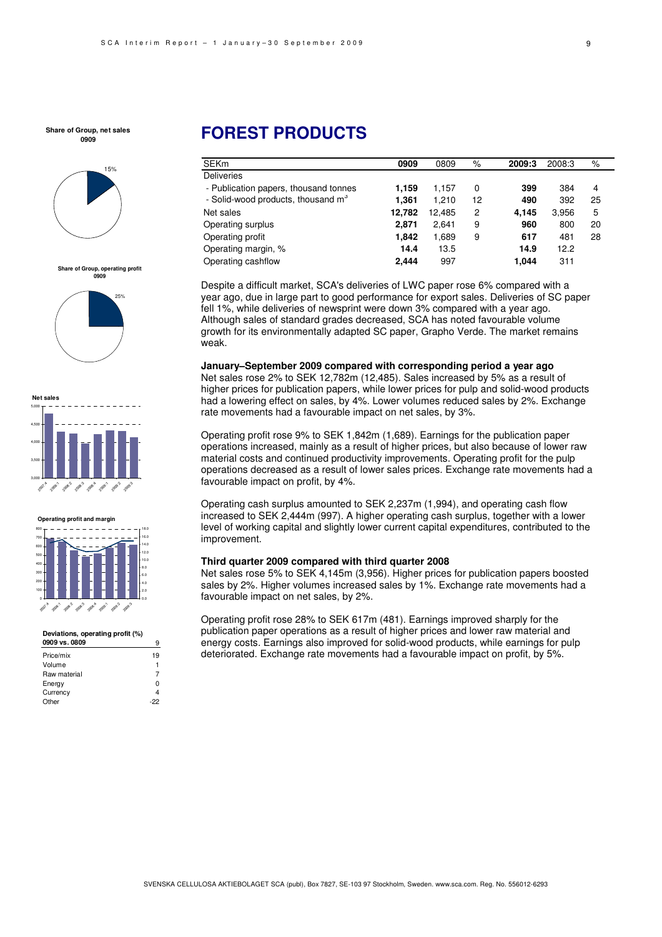

**Share of Group, operating profi** 



**Net sales** 3,000 3,500 4,000 4,500 5,000 2007.4 2005.1 2003 2019.3 2009.<sup>4</sup> 200.1 2093 2019:3

**Operating profit and margin**



#### **Deviations, operating profit (%)**

| 0909 vs. 0809 | g  |
|---------------|----|
| Price/mix     | 19 |
| Volume        | 1  |
| Raw material  | 7  |
| Energy        | 0  |
| Currency      | 4  |
| Other         | 22 |

# **FOREST PRODUCTS**

| 0909   | 0809   | %  | 2009:3 | 2008:3 | %  |
|--------|--------|----|--------|--------|----|
|        |        |    |        |        |    |
| 1.159  | 1,157  | 0  | 399    | 384    | 4  |
| 1.361  | 1.210  | 12 | 490    | 392    | 25 |
| 12.782 | 12,485 | 2  | 4.145  | 3,956  | 5  |
| 2.871  | 2.641  | 9  | 960    | 800    | 20 |
| 1.842  | 1,689  | 9  | 617    | 481    | 28 |
| 14.4   | 13.5   |    | 14.9   | 12.2   |    |
| 2.444  | 997    |    | 1.044  | 311    |    |
|        |        |    |        |        |    |

Despite a difficult market, SCA's deliveries of LWC paper rose 6% compared with a year ago, due in large part to good performance for export sales. Deliveries of SC paper fell 1%, while deliveries of newsprint were down 3% compared with a year ago. Although sales of standard grades decreased, SCA has noted favourable volume growth for its environmentally adapted SC paper, Grapho Verde. The market remains weak.

#### **January–September 2009 compared with corresponding period a year ago**

Net sales rose 2% to SEK 12,782m (12,485). Sales increased by 5% as a result of higher prices for publication papers, while lower prices for pulp and solid-wood products had a lowering effect on sales, by 4%. Lower volumes reduced sales by 2%. Exchange rate movements had a favourable impact on net sales, by 3%.

Operating profit rose 9% to SEK 1,842m (1,689). Earnings for the publication paper operations increased, mainly as a result of higher prices, but also because of lower raw material costs and continued productivity improvements. Operating profit for the pulp operations decreased as a result of lower sales prices. Exchange rate movements had a favourable impact on profit, by 4%.

Operating cash surplus amounted to SEK 2,237m (1,994), and operating cash flow increased to SEK 2,444m (997). A higher operating cash surplus, together with a lower level of working capital and slightly lower current capital expenditures, contributed to the improvement.

#### **Third quarter 2009 compared with third quarter 2008**

Net sales rose 5% to SEK 4,145m (3,956). Higher prices for publication papers boosted sales by 2%. Higher volumes increased sales by 1%. Exchange rate movements had a favourable impact on net sales, by 2%.

Operating profit rose 28% to SEK 617m (481). Earnings improved sharply for the publication paper operations as a result of higher prices and lower raw material and energy costs. Earnings also improved for solid-wood products, while earnings for pulp deteriorated. Exchange rate movements had a favourable impact on profit, by 5%.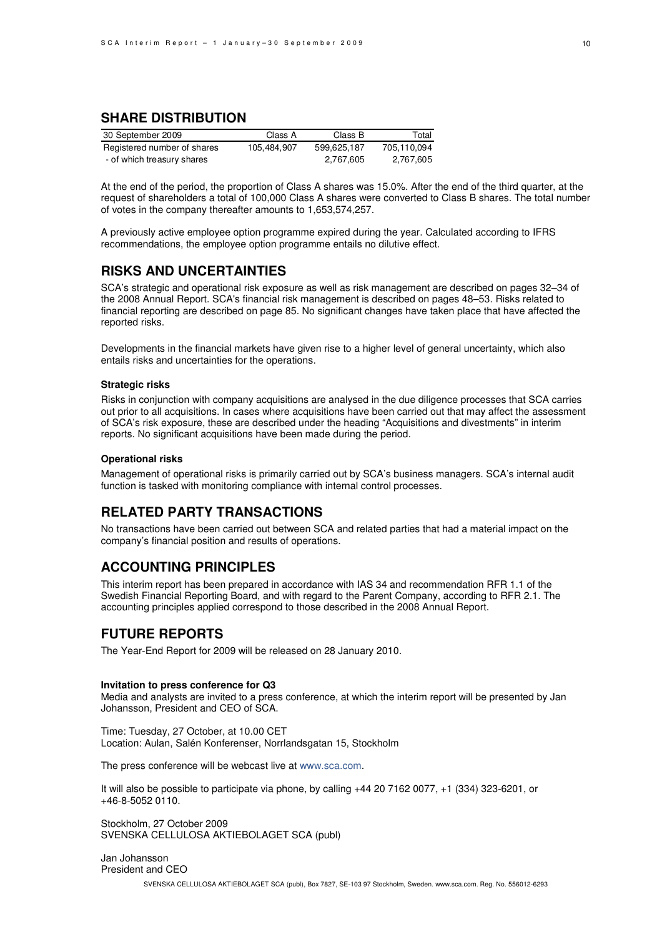## **SHARE DISTRIBUTION**

| 30 September 2009           | Class A     | Class B     | Total       |
|-----------------------------|-------------|-------------|-------------|
|                             |             |             |             |
| Registered number of shares | 105,484,907 | 599,625,187 | 705,110,094 |
| - of which treasury shares  |             | 2,767,605   | 2,767,605   |

At the end of the period, the proportion of Class A shares was 15.0%. After the end of the third quarter, at the request of shareholders a total of 100,000 Class A shares were converted to Class B shares. The total number of votes in the company thereafter amounts to 1,653,574,257.

A previously active employee option programme expired during the year. Calculated according to IFRS recommendations, the employee option programme entails no dilutive effect.

## **RISKS AND UNCERTAINTIES**

SCA's strategic and operational risk exposure as well as risk management are described on pages 32–34 of the 2008 Annual Report. SCA's financial risk management is described on pages 48–53. Risks related to financial reporting are described on page 85. No significant changes have taken place that have affected the reported risks.

Developments in the financial markets have given rise to a higher level of general uncertainty, which also entails risks and uncertainties for the operations.

### **Strategic risks**

Risks in conjunction with company acquisitions are analysed in the due diligence processes that SCA carries out prior to all acquisitions. In cases where acquisitions have been carried out that may affect the assessment of SCA's risk exposure, these are described under the heading "Acquisitions and divestments" in interim reports. No significant acquisitions have been made during the period.

### **Operational risks**

Management of operational risks is primarily carried out by SCA's business managers. SCA's internal audit function is tasked with monitoring compliance with internal control processes.

### **RELATED PARTY TRANSACTIONS**

No transactions have been carried out between SCA and related parties that had a material impact on the company's financial position and results of operations.

### **ACCOUNTING PRINCIPLES**

This interim report has been prepared in accordance with IAS 34 and recommendation RFR 1.1 of the Swedish Financial Reporting Board, and with regard to the Parent Company, according to RFR 2.1. The accounting principles applied correspond to those described in the 2008 Annual Report.

## **FUTURE REPORTS**

The Year-End Report for 2009 will be released on 28 January 2010.

#### **Invitation to press conference for Q3**

Media and analysts are invited to a press conference, at which the interim report will be presented by Jan Johansson, President and CEO of SCA.

Time: Tuesday, 27 October, at 10.00 CET Location: Aulan, Salén Konferenser, Norrlandsgatan 15, Stockholm

The press conference will be webcast live at www.sca.com.

It will also be possible to participate via phone, by calling +44 20 7162 0077, +1 (334) 323-6201, or  $+46-8-50520110$ .

Stockholm, 27 October 2009 SVENSKA CELLULOSA AKTIEBOLAGET SCA (publ)

Jan Johansson President and CEO

SVENSKA CELLULOSA AKTIEBOLAGET SCA (publ), Box 7827, SE-103 97 Stockholm, Sweden. www.sca.com. Reg. No. 556012-6293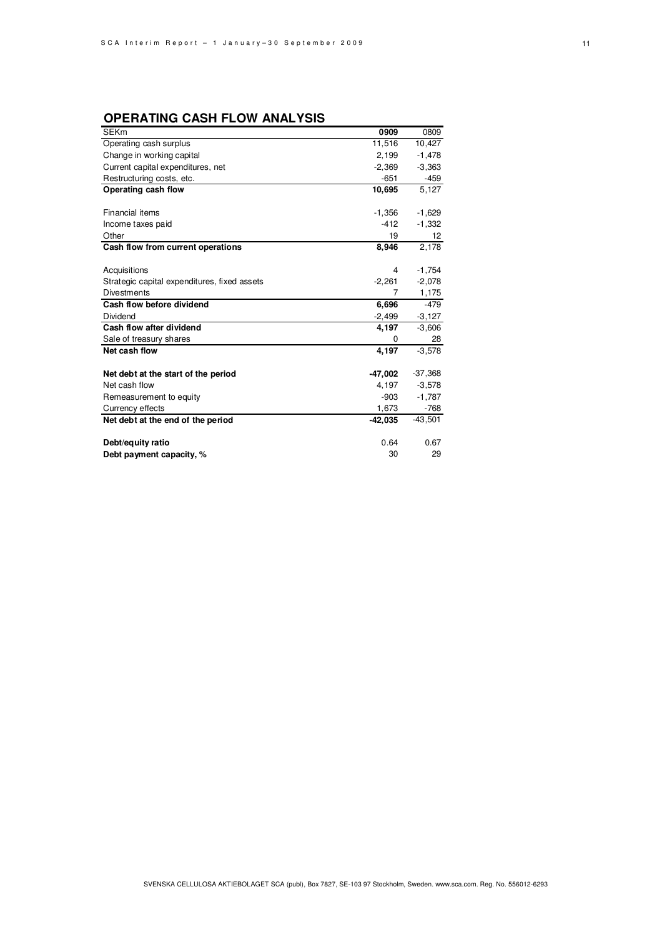## **OPERATING CASH FLOW ANALYSIS**

| <b>SEKm</b>                                  | 0909      | 0809      |
|----------------------------------------------|-----------|-----------|
| Operating cash surplus                       | 11,516    | 10,427    |
| Change in working capital                    | 2,199     | $-1,478$  |
| Current capital expenditures, net            | $-2,369$  | $-3,363$  |
| Restructuring costs, etc.                    | $-651$    | -459      |
| Operating cash flow                          | 10,695    | 5,127     |
|                                              |           |           |
| Financial items                              | $-1,356$  | $-1,629$  |
| Income taxes paid                            | $-412$    | $-1,332$  |
| Other                                        | 19        | 12        |
| Cash flow from current operations            | 8,946     | 2,178     |
|                                              |           |           |
| Acquisitions                                 | 4         | $-1,754$  |
| Strategic capital expenditures, fixed assets | $-2,261$  | $-2,078$  |
| <b>Divestments</b>                           |           | 1,175     |
| Cash flow before dividend                    | 6,696     | $-479$    |
| Dividend                                     | $-2,499$  | $-3,127$  |
| Cash flow after dividend                     | 4,197     | $-3,606$  |
| Sale of treasury shares                      | 0         | 28        |
| Net cash flow                                | 4,197     | $-3,578$  |
| Net debt at the start of the period          | $-47,002$ | $-37,368$ |
| Net cash flow                                | 4,197     | $-3,578$  |
| Remeasurement to equity                      | -903      | $-1,787$  |
| Currency effects                             | 1,673     | $-768$    |
| Net debt at the end of the period            | $-42,035$ | $-43,501$ |
| Debt/equity ratio                            | 0.64      | 0.67      |
| Debt payment capacity, %                     | 30        | 29        |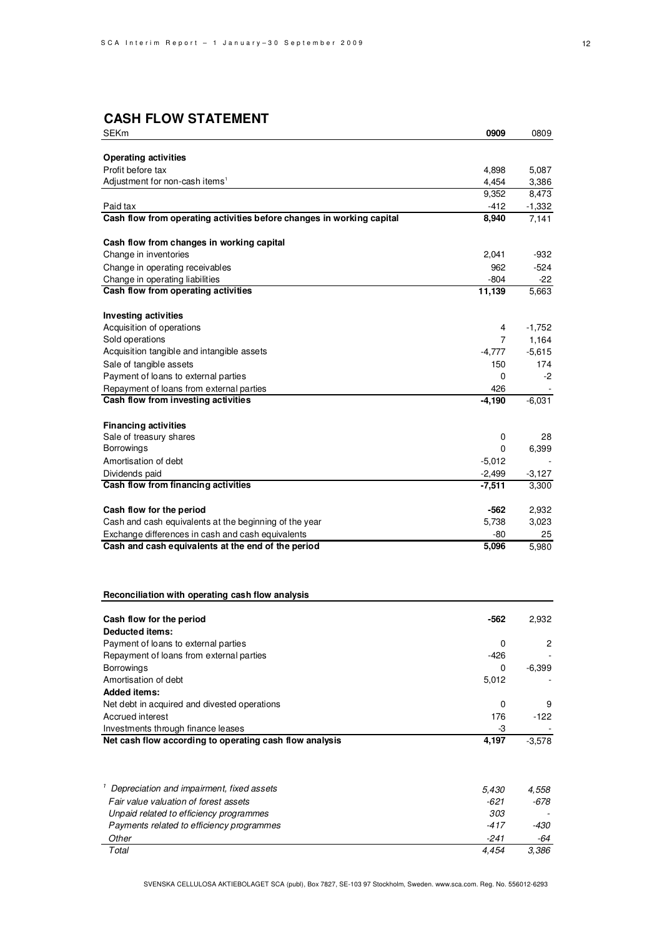# **CASH FLOW STATEMENT**

| SEKm                                                                  | 0909           | 0809           |
|-----------------------------------------------------------------------|----------------|----------------|
|                                                                       |                |                |
| <b>Operating activities</b>                                           |                |                |
| Profit before tax<br>Adjustment for non-cash items <sup>1</sup>       | 4,898<br>4,454 | 5,087<br>3,386 |
|                                                                       | 9,352          | 8,473          |
| Paid tax                                                              | -412           | $-1,332$       |
| Cash flow from operating activities before changes in working capital | 8,940          | 7,141          |
|                                                                       |                |                |
| Cash flow from changes in working capital<br>Change in inventories    | 2,041          | -932           |
| Change in operating receivables                                       | 962            | $-524$         |
| Change in operating liabilities                                       | -804           | -22            |
| Cash flow from operating activities                                   | 11,139         | 5,663          |
| <b>Investing activities</b>                                           |                |                |
| Acquisition of operations                                             | 4              | $-1,752$       |
| Sold operations                                                       | 7              | 1,164          |
| Acquisition tangible and intangible assets                            | $-4.777$       | $-5,615$       |
| Sale of tangible assets                                               | 150            | 174            |
| Payment of loans to external parties                                  | 0              | -2             |
| Repayment of loans from external parties                              | 426            |                |
| Cash flow from investing activities                                   | $-4,190$       | $-6,031$       |
| <b>Financing activities</b>                                           |                |                |
| Sale of treasury shares                                               | 0              | 28             |
| <b>Borrowings</b>                                                     | 0              | 6,399          |
| Amortisation of debt                                                  | $-5,012$       |                |
| Dividends paid                                                        | $-2,499$       | $-3,127$       |
| Cash flow from financing activities                                   | $-7,511$       | 3,300          |
| Cash flow for the period                                              | -562           | 2,932          |
| Cash and cash equivalents at the beginning of the year                | 5,738          | 3,023          |
| Exchange differences in cash and cash equivalents                     | -80            | 25             |
| Cash and cash equivalents at the end of the period                    | 5,096          | 5,980          |
|                                                                       |                |                |
| Reconciliation with operating cash flow analysis                      |                |                |
| Cash flow for the period                                              | -562           | 2,932          |
| <b>Deducted items:</b>                                                |                |                |
| Payment of loans to external parties                                  | 0              | 2              |
| Repayment of loans from external parties                              | -426           |                |
| <b>Borrowings</b>                                                     | 0              | $-6,399$       |
| Amortisation of debt                                                  | 5,012          |                |
| <b>Added items:</b>                                                   |                |                |
| Net debt in acquired and divested operations                          | 0              | 9              |
| Accrued interest<br>Investments through finance leases                | 176<br>-3      | $-122$         |
| Net cash flow according to operating cash flow analysis               | 4,197          | $-3,578$       |
|                                                                       |                |                |
| <sup>1</sup> Depreciation and impairment, fixed assets                | 5,430          | 4,558          |
| Fair value valuation of forest assets                                 | -621           | -678           |
| Unpaid related to efficiency programmes                               | 303            |                |
| Payments related to efficiency programmes                             | $-417$         | -430           |
| Other                                                                 | $-241$         | -64            |
| Total                                                                 | 4,454          | 3,386          |

SVENSKA CELLULOSA AKTIEBOLAGET SCA (publ), Box 7827, SE-103 97 Stockholm, Sweden. www.sca.com. Reg. No. 556012-6293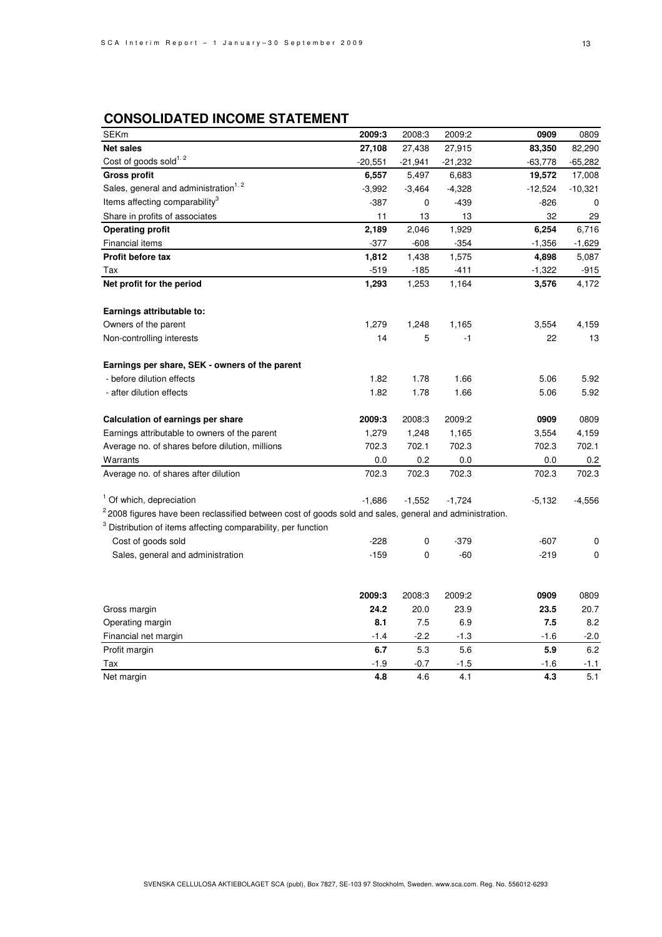# **CONSOLIDATED INCOME STATEMENT**

| <b>SEKm</b>                                                                                                        | 2009:3         | 2008:3        | 2009:2        | 0909          | 0809          |
|--------------------------------------------------------------------------------------------------------------------|----------------|---------------|---------------|---------------|---------------|
| <b>Net sales</b>                                                                                                   | 27,108         | 27,438        | 27,915        | 83,350        | 82,290        |
| Cost of goods sold <sup>1.2</sup>                                                                                  | $-20,551$      | $-21,941$     | $-21,232$     | $-63,778$     | $-65,282$     |
| <b>Gross profit</b>                                                                                                | 6,557          | 5,497         | 6,683         | 19,572        | 17,008        |
| Sales, general and administration <sup>1.2</sup>                                                                   | $-3,992$       | $-3,464$      | $-4,328$      | $-12,524$     | $-10,321$     |
| Items affecting comparability <sup>3</sup>                                                                         | $-387$         | 0             | $-439$        | $-826$        | 0             |
| Share in profits of associates                                                                                     | 11             | 13            | 13            | 32            | 29            |
| <b>Operating profit</b>                                                                                            | 2,189          | 2,046         | 1,929         | 6,254         | 6,716         |
| Financial items                                                                                                    | $-377$         | $-608$        | $-354$        | $-1,356$      | $-1,629$      |
| Profit before tax                                                                                                  | 1,812          | 1,438         | 1,575         | 4,898         | 5,087         |
| Tax                                                                                                                | $-519$         | $-185$        | $-411$        | $-1,322$      | $-915$        |
| Net profit for the period                                                                                          | 1,293          | 1,253         | 1,164         | 3,576         | 4,172         |
| Earnings attributable to:                                                                                          |                |               |               |               |               |
| Owners of the parent                                                                                               | 1,279          | 1,248         | 1,165         | 3,554         | 4,159         |
| Non-controlling interests                                                                                          | 14             | 5             | $-1$          | 22            | 13            |
| Earnings per share, SEK - owners of the parent                                                                     |                |               |               |               |               |
| - before dilution effects                                                                                          | 1.82           | 1.78          | 1.66          | 5.06          | 5.92          |
| - after dilution effects                                                                                           | 1.82           | 1.78          | 1.66          | 5.06          | 5.92          |
| Calculation of earnings per share                                                                                  | 2009:3         | 2008:3        | 2009:2        | 0909          | 0809          |
| Earnings attributable to owners of the parent                                                                      | 1,279          | 1,248         | 1,165         | 3,554         | 4,159         |
| Average no. of shares before dilution, millions                                                                    | 702.3          | 702.1         | 702.3         | 702.3         | 702.1         |
| Warrants                                                                                                           | 0.0            | 0.2           | 0.0           | 0.0           | 0.2           |
| Average no. of shares after dilution                                                                               | 702.3          | 702.3         | 702.3         | 702.3         | 702.3         |
| <sup>1</sup> Of which, depreciation                                                                                | $-1,686$       | $-1,552$      | $-1,724$      | $-5,132$      | $-4,556$      |
| <sup>2</sup> 2008 figures have been reclassified between cost of goods sold and sales, general and administration. |                |               |               |               |               |
| <sup>3</sup> Distribution of items affecting comparability, per function                                           |                |               |               |               |               |
| Cost of goods sold                                                                                                 | $-228$         | 0             | $-379$        | -607          | 0             |
| Sales, general and administration                                                                                  | $-159$         | $\mathbf 0$   | $-60$         | $-219$        | $\mathbf 0$   |
|                                                                                                                    |                |               |               |               |               |
|                                                                                                                    | 2009:3<br>24.2 | 2008:3        | 2009:2        | 0909          | 0809          |
| Gross margin                                                                                                       | 8.1            | 20.0<br>7.5   | 23.9<br>6.9   | 23.5<br>7.5   | 20.7<br>8.2   |
| Operating margin                                                                                                   |                |               |               |               |               |
| Financial net margin                                                                                               | $-1.4$<br>6.7  | $-2.2$<br>5.3 | $-1.3$<br>5.6 | $-1.6$<br>5.9 | $-2.0$<br>6.2 |
| Profit margin<br>Tax                                                                                               | $-1.9$         | $-0.7$        |               |               |               |
| Net margin                                                                                                         | 4.8            | 4.6           | $-1.5$<br>4.1 | $-1.6$<br>4.3 | $-1.1$<br>5.1 |
|                                                                                                                    |                |               |               |               |               |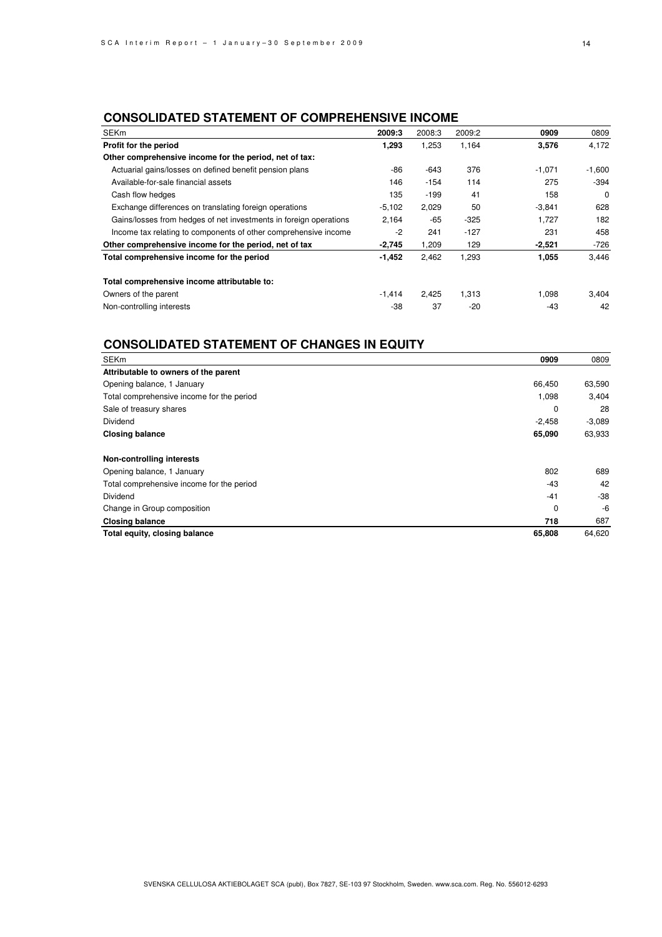## **CONSOLIDATED STATEMENT OF COMPREHENSIVE INCOME**

| <b>SEKm</b>                                                       | 2009:3   | 2008:3 | 2009:2 | 0909     | 0809     |
|-------------------------------------------------------------------|----------|--------|--------|----------|----------|
| Profit for the period                                             | 1,293    | 1,253  | 1,164  | 3,576    | 4,172    |
| Other comprehensive income for the period, net of tax:            |          |        |        |          |          |
| Actuarial gains/losses on defined benefit pension plans           | -86      | -643   | 376    | $-1,071$ | $-1,600$ |
| Available-for-sale financial assets                               | 146      | $-154$ | 114    | 275      | -394     |
| Cash flow hedges                                                  | 135      | -199   | 41     | 158      | 0        |
| Exchange differences on translating foreign operations            | $-5,102$ | 2,029  | 50     | $-3,841$ | 628      |
| Gains/losses from hedges of net investments in foreign operations | 2.164    | -65    | $-325$ | 1.727    | 182      |
| Income tax relating to components of other comprehensive income   | $-2$     | 241    | $-127$ | 231      | 458      |
| Other comprehensive income for the period, net of tax             | $-2,745$ | 1,209  | 129    | $-2,521$ | $-726$   |
| Total comprehensive income for the period                         | $-1,452$ | 2,462  | 1,293  | 1,055    | 3,446    |
| Total comprehensive income attributable to:                       |          |        |        |          |          |
| Owners of the parent                                              | $-1,414$ | 2,425  | 1,313  | 1,098    | 3,404    |
| Non-controlling interests                                         | -38      | 37     | $-20$  | $-43$    | 42       |

## **CONSOLIDATED STATEMENT OF CHANGES IN EQUITY**

| <b>SEKm</b>                               | 0909        | 0809     |
|-------------------------------------------|-------------|----------|
| Attributable to owners of the parent      |             |          |
| Opening balance, 1 January                | 66,450      | 63,590   |
| Total comprehensive income for the period | 1,098       | 3,404    |
| Sale of treasury shares                   | $\mathbf 0$ | 28       |
| Dividend                                  | $-2,458$    | $-3,089$ |
| <b>Closing balance</b>                    | 65,090      | 63,933   |
| Non-controlling interests                 |             |          |
| Opening balance, 1 January                | 802         | 689      |
| Total comprehensive income for the period | -43         | 42       |
| Dividend                                  | $-41$       | $-38$    |
| Change in Group composition               | $\Omega$    | -6       |
| <b>Closing balance</b>                    | 718         | 687      |
| Total equity, closing balance             | 65,808      | 64.620   |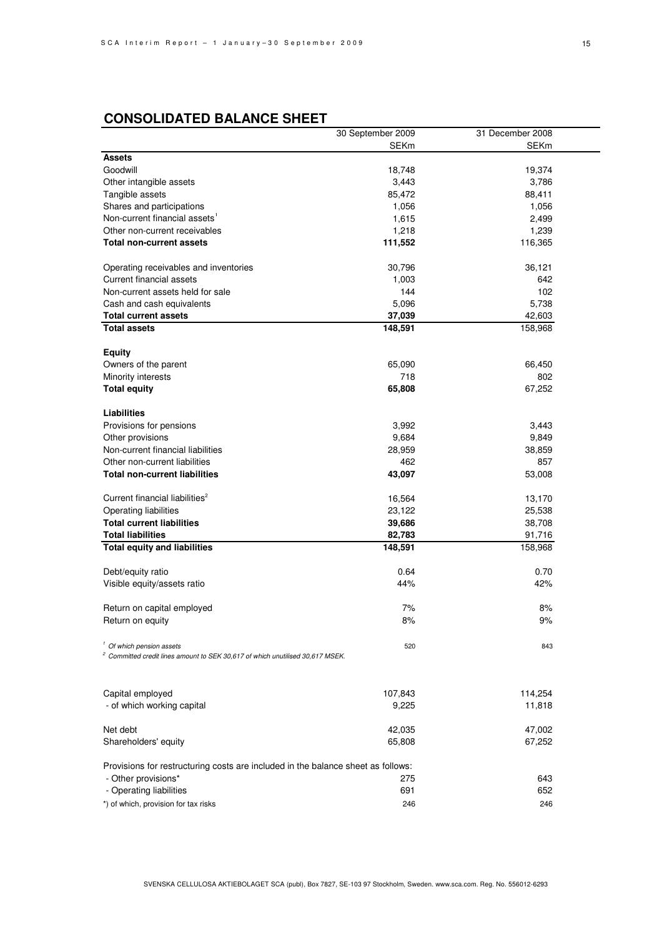# **CONSOLIDATED BALANCE SHEET**

|                                                                                           | 30 September 2009 | 31 December 2008 |
|-------------------------------------------------------------------------------------------|-------------------|------------------|
|                                                                                           | <b>SEKm</b>       | <b>SEKm</b>      |
| <b>Assets</b>                                                                             |                   |                  |
| Goodwill                                                                                  | 18,748            | 19,374           |
| Other intangible assets                                                                   | 3,443             | 3,786            |
| Tangible assets                                                                           | 85,472            | 88,411           |
| Shares and participations                                                                 | 1,056             | 1,056            |
| Non-current financial assets <sup>1</sup>                                                 | 1,615             | 2,499            |
| Other non-current receivables                                                             | 1,218             | 1,239            |
| <b>Total non-current assets</b>                                                           | 111,552           | 116,365          |
|                                                                                           |                   |                  |
| Operating receivables and inventories                                                     | 30,796            | 36,121           |
| Current financial assets                                                                  | 1,003             | 642              |
| Non-current assets held for sale                                                          | 144               | 102              |
| Cash and cash equivalents                                                                 | 5,096             | 5,738            |
| <b>Total current assets</b>                                                               | 37,039            | 42,603           |
| <b>Total assets</b>                                                                       | 148,591           | 158,968          |
|                                                                                           |                   |                  |
| <b>Equity</b>                                                                             |                   |                  |
| Owners of the parent                                                                      | 65,090            | 66,450           |
| Minority interests                                                                        | 718               | 802              |
| <b>Total equity</b>                                                                       | 65,808            | 67,252           |
|                                                                                           |                   |                  |
| <b>Liabilities</b>                                                                        |                   |                  |
| Provisions for pensions                                                                   | 3,992             | 3,443            |
| Other provisions                                                                          | 9,684             | 9,849            |
| Non-current financial liabilities                                                         | 28,959            | 38,859           |
| Other non-current liabilities                                                             | 462               | 857              |
| <b>Total non-current liabilities</b>                                                      | 43,097            | 53,008           |
|                                                                                           |                   |                  |
| Current financial liabilities <sup>2</sup>                                                | 16,564            | 13,170           |
| Operating liabilities                                                                     | 23,122            | 25,538           |
| <b>Total current liabilities</b>                                                          | 39,686            | 38,708           |
| <b>Total liabilities</b>                                                                  | 82,783            | 91,716           |
| <b>Total equity and liabilities</b>                                                       | 148,591           | 158,968          |
|                                                                                           |                   |                  |
| Debt/equity ratio                                                                         | 0.64              | 0.70             |
| Visible equity/assets ratio                                                               | 44%               | 42%              |
|                                                                                           |                   |                  |
| Return on capital employed                                                                | 7%                | 8%               |
| Return on equity                                                                          | 8%                | 9%               |
|                                                                                           |                   |                  |
| <sup>1</sup> Of which pension assets                                                      | 520               | 843              |
| <sup>2</sup> Committed credit lines amount to SEK 30,617 of which unutilised 30,617 MSEK. |                   |                  |
|                                                                                           |                   |                  |
|                                                                                           |                   |                  |
| Capital employed                                                                          | 107,843           | 114,254          |
| - of which working capital                                                                | 9,225             | 11,818           |
|                                                                                           |                   |                  |
| Net debt                                                                                  | 42,035            | 47,002           |
| Shareholders' equity                                                                      | 65,808            | 67,252           |
|                                                                                           |                   |                  |
| Provisions for restructuring costs are included in the balance sheet as follows:          |                   |                  |
| - Other provisions*                                                                       | 275               | 643              |
| - Operating liabilities                                                                   | 691               | 652              |
| *) of which, provision for tax risks                                                      | 246               | 246              |
|                                                                                           |                   |                  |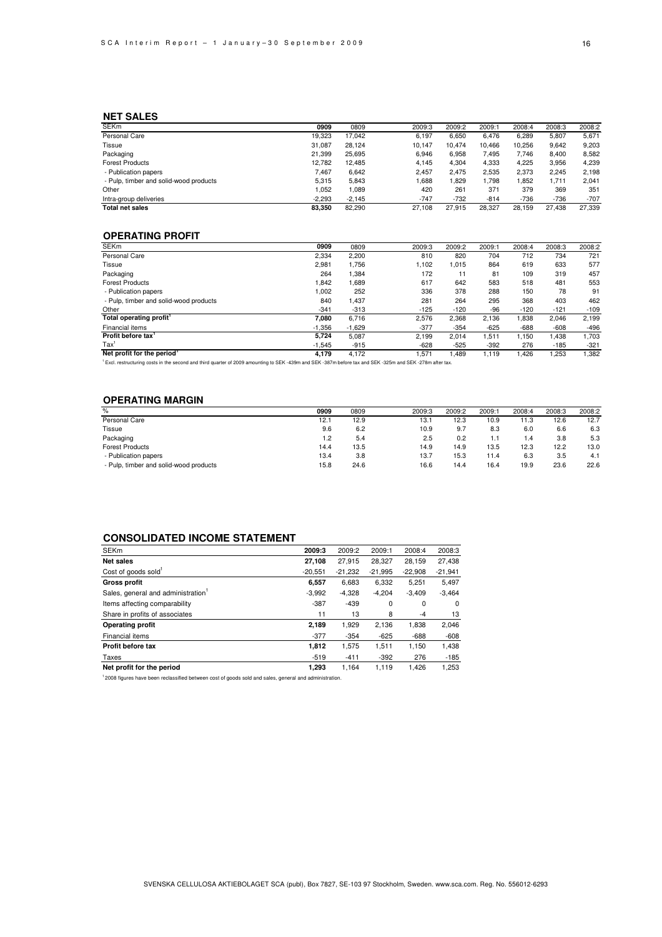### **NET SALES**

| <b>SEKm</b>                            | 0909     | 0809     | 2009:3 | 2009:2 | 2009:1 | 2008:4 | 2008:3 | 2008:2 |
|----------------------------------------|----------|----------|--------|--------|--------|--------|--------|--------|
| Personal Care                          | 19.323   | 17.042   | 6.197  | 6.650  | 6.476  | 6,289  | 5,807  | 5,671  |
| Tissue                                 | 31.087   | 28.124   | 10.147 | 10.474 | 10.466 | 10.256 | 9.642  | 9,203  |
| Packaging                              | 21.399   | 25.695   | 6.946  | 6.958  | 7,495  | 7.746  | 8.400  | 8,582  |
| <b>Forest Products</b>                 | 12.782   | 12.485   | 4.145  | 4.304  | 4,333  | 4,225  | 3,956  | 4,239  |
| - Publication papers                   | 7.467    | 6.642    | 2.457  | 2.475  | 2,535  | 2,373  | 2,245  | 2,198  |
| - Pulp, timber and solid-wood products | 5,315    | 5,843    | .688   | .829   | .798   | .852   | 1,711  | 2,041  |
| Other                                  | 1.052    | 1,089    | 420    | 261    | 371    | 379    | 369    | 351    |
| Intra-group deliveries                 | $-2.293$ | $-2.145$ | $-747$ | $-732$ | $-814$ | $-736$ | $-736$ | $-707$ |
| <b>Total net sales</b>                 | 83.350   | 82.290   | 27.108 | 27.915 | 28.327 | 28.159 | 27.438 | 27.339 |

### **OPERATING PROFIT**

| <b>SEKm</b>                                                                                                                                              | 0909     | 0809     | 2009:3 | 2009:2 | 2009:1 | 2008:4 | 2008:3 | 2008:2 |
|----------------------------------------------------------------------------------------------------------------------------------------------------------|----------|----------|--------|--------|--------|--------|--------|--------|
| Personal Care                                                                                                                                            | 2,334    | 2,200    | 810    | 820    | 704    | 712    | 734    | 721    |
| Tissue                                                                                                                                                   | 2,981    | 1,756    | 1.102  | 1,015  | 864    | 619    | 633    | 577    |
| Packaging                                                                                                                                                | 264      | 1,384    | 172    | 11     | 81     | 109    | 319    | 457    |
| <b>Forest Products</b>                                                                                                                                   | 1,842    | 1,689    | 617    | 642    | 583    | 518    | 481    | 553    |
| - Publication papers                                                                                                                                     | 1,002    | 252      | 336    | 378    | 288    | 150    | 78     | 91     |
| - Pulp, timber and solid-wood products                                                                                                                   | 840      | 1,437    | 281    | 264    | 295    | 368    | 403    | 462    |
| Other                                                                                                                                                    | $-341$   | $-313$   | $-125$ | $-120$ | -96    | $-120$ | $-121$ | $-109$ |
| Total operating profit <sup>1</sup>                                                                                                                      | 7,080    | 6,716    | 2,576  | 2,368  | 2,136  | .838   | 2,046  | 2,199  |
| Financial items                                                                                                                                          | $-1,356$ | $-1,629$ | $-377$ | $-354$ | $-625$ | $-688$ | $-608$ | $-496$ |
| Profit before tax <sup>1</sup>                                                                                                                           | 5,724    | 5.087    | 2.199  | 2.014  | 1,511  | 1.150  | 1,438  | 1,703  |
| $\text{Tax}^1$                                                                                                                                           | $-1.545$ | $-915$   | $-628$ | $-525$ | $-392$ | 276    | $-185$ | $-321$ |
| Net profit for the period <sup>1</sup>                                                                                                                   | 4.179    | 4.172    | 1.571  | 1.489  | 1.119  | 1,426  | 1,253  | 1,382  |
| Excl. restructuring costs in the second and third quarter of 2009 amounting to SEK -439m and SEK -387m before tax and SEK -325m and SEK -278m after tax. |          |          |        |        |        |        |        |        |

### **OPERATING MARGIN**

| 2009:3 | 2009:2 | 2009:1 | 2008:4 | 2008:3 | 2008:2 |
|--------|--------|--------|--------|--------|--------|
| 13.1   | 12.3   | 10.9   | 11.3   | 12.6   | 12.7   |
| 10.9   | 9.7    | 8.3    | 6.0    | 6.6    | 6.3    |
| 2.5    | 0.2    |        | 1.4    | 3.8    | 5.3    |
| 14.9   | 14.9   | 13.5   | 12.3   | 12.2   | 13.0   |
| 13.7   | 15.3   | 11.4   | 6.3    | 3.5    | 4.1    |
| 16.6   | 14.4   | 16.4   | 19.9   | 23.6   | 22.6   |
|        |        |        |        |        |        |

### **CONSOLIDATED INCOME STATEMENT**

| <b>SEKm</b>                                    | 2009:3    | 2009:2    | 2009:1      | 2008:4    | 2008:3      |
|------------------------------------------------|-----------|-----------|-------------|-----------|-------------|
| Net sales                                      | 27.108    | 27.915    | 28.327      | 28.159    | 27,438      |
| Cost of goods sold <sup>1</sup>                | $-20,551$ | $-21,232$ | $-21,995$   | $-22,908$ | $-21,941$   |
| <b>Gross profit</b>                            | 6,557     | 6,683     | 6,332       | 5.251     | 5,497       |
| Sales, general and administration <sup>1</sup> | $-3,992$  | $-4,328$  | $-4.204$    | $-3.409$  | $-3.464$    |
| Items affecting comparability                  | $-387$    | $-439$    | $\mathbf 0$ | 0         | $\mathbf 0$ |
| Share in profits of associates                 | 11        | 13        | 8           | -4        | 13          |
| <b>Operating profit</b>                        | 2,189     | 1,929     | 2.136       | 1,838     | 2,046       |
| Financial items                                | $-377$    | $-354$    | $-625$      | $-688$    | $-608$      |
| Profit before tax                              | 1.812     | 1,575     | 1.511       | 1.150     | 1,438       |
| Taxes                                          | $-519$    | $-411$    | $-392$      | 276       | $-185$      |
| Net profit for the period                      | 1,293     | 1.164     | 1.119       | 1.426     | 1.253       |

<sup>1</sup>2008 figures have been reclassified between cost of goods sold and sales, general and administration.